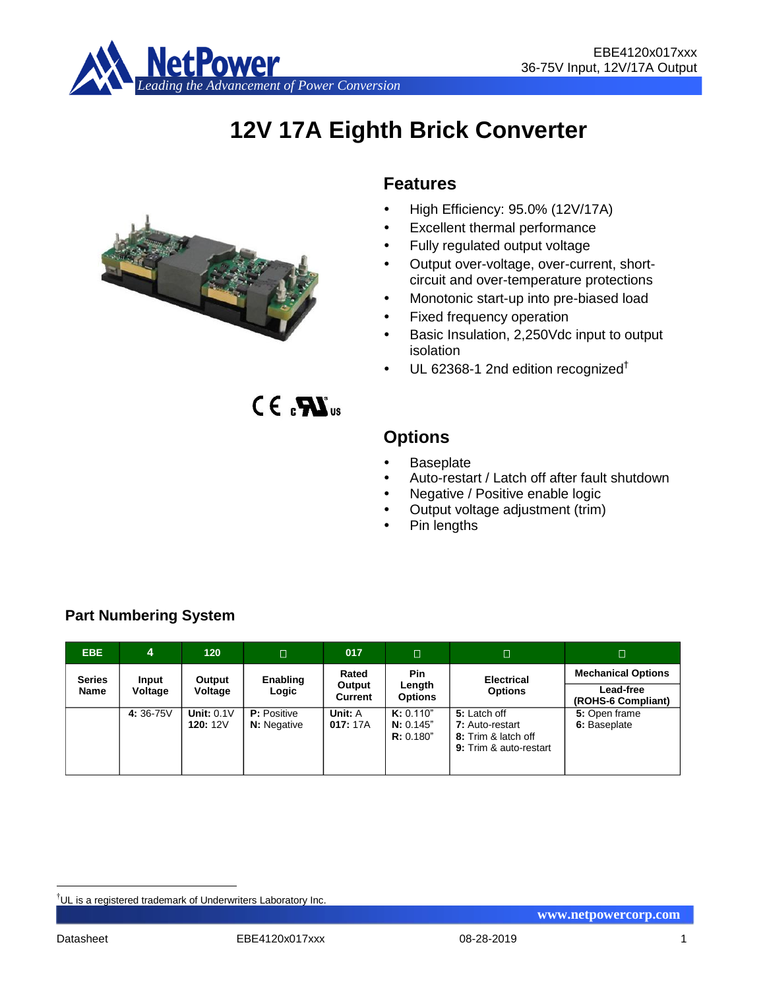

# **12V 17A Eighth Brick Converter**



# **Features**

- High Efficiency: 95.0% (12V/17A)
- Excellent thermal performance
- Fully regulated output voltage
- Output over-voltage, over-current, shortcircuit and over-temperature protections
- Monotonic start-up into pre-biased load
- Fixed frequency operation
- Basic Insulation, 2,250Vdc input to output isolation
- $\cdot$  UL 62368-1 2nd edition recognized<sup>†</sup>

# $CE_{\alpha}$  $\mathbf{W}_{\alpha}$

# **Options**

- **Baseplate**
- Auto-restart / Latch off after fault shutdown
- Negative / Positive enable logic
- Output voltage adjustment (trim)
- Pin lengths

| EBE.                  | 4                | 120                        | $\Box$                                   | 017                        | п                                      | Π                                                                                | $\Box$                                                       |
|-----------------------|------------------|----------------------------|------------------------------------------|----------------------------|----------------------------------------|----------------------------------------------------------------------------------|--------------------------------------------------------------|
| <b>Series</b><br>Name | Input<br>Voltage | Output<br>Voltage          | Enabling<br>Logic                        | Rated<br>Output<br>Current | <b>Pin</b><br>Length<br><b>Options</b> | <b>Electrical</b><br><b>Options</b>                                              | <b>Mechanical Options</b><br>Lead-free<br>(ROHS-6 Compliant) |
|                       | 4:36-75V         | Unit: $0.1V$<br>120: $12V$ | <b>P:</b> Positive<br><b>N:</b> Negative | Unit: A<br>017:17A         | K: 0.110"<br>N: 0.145"<br>R: 0.180"    | 5: Latch off<br>7: Auto-restart<br>8: Trim & latch off<br>9: Trim & auto-restart | 5: Open frame<br>6: Baseplate                                |

# **Part Numbering System**

<u>.</u>

<sup>†</sup>UL is a registered trademark of Underwriters Laboratory Inc.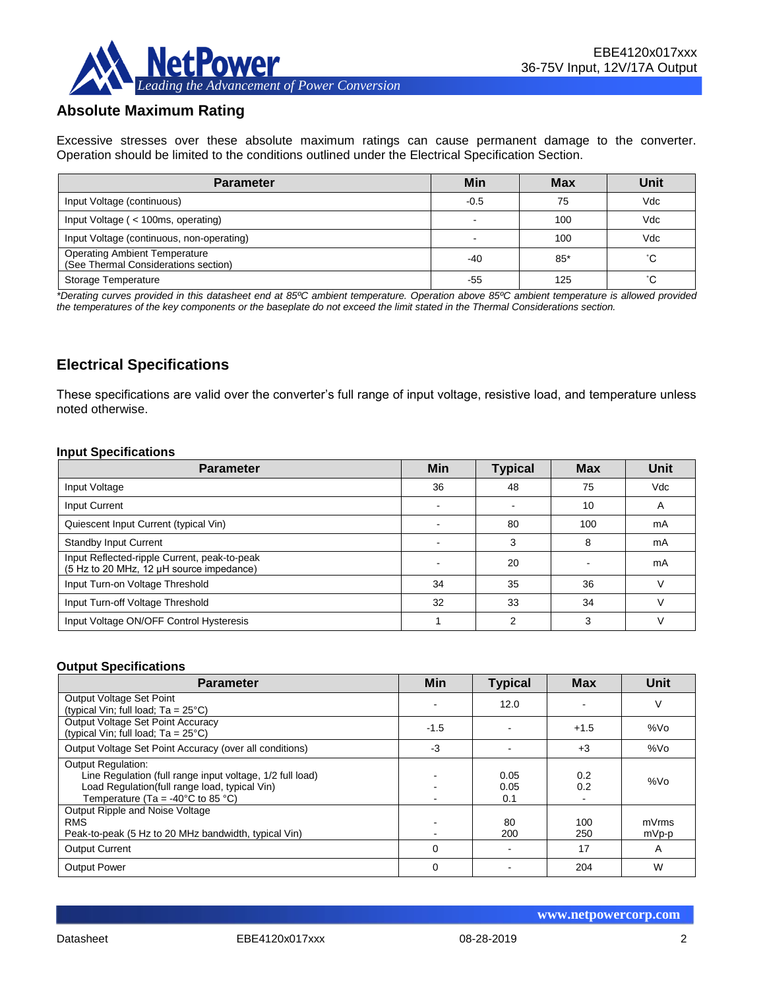

# **Absolute Maximum Rating**

Excessive stresses over these absolute maximum ratings can cause permanent damage to the converter. Operation should be limited to the conditions outlined under the Electrical Specification Section.

| <b>Parameter</b>                                                             | Min    | <b>Max</b> | Unit |
|------------------------------------------------------------------------------|--------|------------|------|
| Input Voltage (continuous)                                                   | $-0.5$ | 75         | Vdc  |
| Input Voltage ( < 100ms, operating)                                          |        | 100        | Vdc  |
| Input Voltage (continuous, non-operating)                                    |        | 100        | Vdc  |
| <b>Operating Ambient Temperature</b><br>(See Thermal Considerations section) | -40    | $85*$      | °С   |
| Storage Temperature                                                          | -55    | 125        | °С   |

*\*Derating curves provided in this datasheet end at 85ºC ambient temperature. Operation above 85ºC ambient temperature is allowed provided the temperatures of the key components or the baseplate do not exceed the limit stated in the Thermal Considerations section.*

### **Electrical Specifications**

These specifications are valid over the converter's full range of input voltage, resistive load, and temperature unless noted otherwise.

#### **Input Specifications**

| <b>Parameter</b>                                                                         | <b>Min</b> | <b>Typical</b> | <b>Max</b> | Unit       |
|------------------------------------------------------------------------------------------|------------|----------------|------------|------------|
| Input Voltage                                                                            | 36         | 48             | 75         | <b>Vdc</b> |
| Input Current                                                                            |            |                | 10         | A          |
| Quiescent Input Current (typical Vin)                                                    |            | 80             | 100        | mA         |
| <b>Standby Input Current</b>                                                             |            | 3              | 8          | mA         |
| Input Reflected-ripple Current, peak-to-peak<br>(5 Hz to 20 MHz, 12 µH source impedance) |            | 20             |            | mA         |
| Input Turn-on Voltage Threshold                                                          | 34         | 35             | 36         |            |
| Input Turn-off Voltage Threshold                                                         | 32         | 33             | 34         |            |
| Input Voltage ON/OFF Control Hysteresis                                                  |            | c              | 3          |            |

#### **Output Specifications**

| <b>Parameter</b>                                                                                                                                                                                  | Min      | <b>Typical</b>      | <b>Max</b> | Unit           |
|---------------------------------------------------------------------------------------------------------------------------------------------------------------------------------------------------|----------|---------------------|------------|----------------|
| Output Voltage Set Point<br>(typical Vin; full load; $Ta = 25^{\circ}C$ )                                                                                                                         |          | 12.0                |            | V              |
| Output Voltage Set Point Accuracy<br>(typical Vin; full load; $Ta = 25^{\circ}C$ )                                                                                                                | $-1.5$   |                     | $+1.5$     | %Vo            |
| Output Voltage Set Point Accuracy (over all conditions)                                                                                                                                           | -3       |                     | $+3$       | %Vo            |
| <b>Output Regulation:</b><br>Line Regulation (full range input voltage, 1/2 full load)<br>Load Regulation(full range load, typical Vin)<br>Temperature (Ta = -40 $^{\circ}$ C to 85 $^{\circ}$ C) |          | 0.05<br>0.05<br>0.1 | 0.2<br>0.2 | %Vo            |
| Output Ripple and Noise Voltage<br><b>RMS</b><br>Peak-to-peak (5 Hz to 20 MHz bandwidth, typical Vin)                                                                                             |          | 80<br>200           | 100<br>250 | mVrms<br>mVp-p |
| <b>Output Current</b>                                                                                                                                                                             | $\Omega$ |                     | 17         | A              |
| <b>Output Power</b>                                                                                                                                                                               | $\Omega$ |                     | 204        | W              |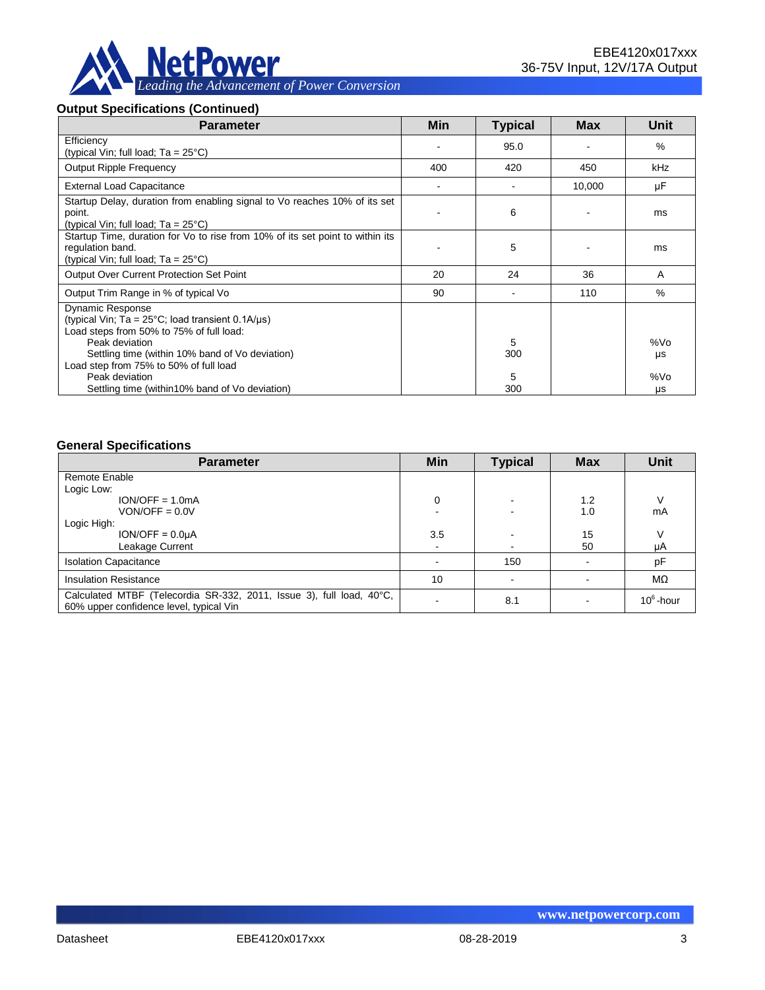

#### **Output Specifications (Continued)**

| <b>Parameter</b>                                                                                                                         | Min | <b>Typical</b> | <b>Max</b> | Unit      |
|------------------------------------------------------------------------------------------------------------------------------------------|-----|----------------|------------|-----------|
| Efficiency<br>(typical Vin; full load; $Ta = 25^{\circ}C$ )                                                                              |     | 95.0           |            | %         |
| <b>Output Ripple Frequency</b>                                                                                                           | 400 | 420            | 450        | kHz       |
| <b>External Load Capacitance</b>                                                                                                         |     |                | 10,000     | μF        |
| Startup Delay, duration from enabling signal to Vo reaches 10% of its set<br>point.<br>(typical Vin; full load; $Ta = 25^{\circ}C$ )     |     | 6              |            | ms        |
| Startup Time, duration for Vo to rise from 10% of its set point to within its<br>regulation band.<br>(typical Vin; full load; Ta = 25°C) |     | 5              |            | ms        |
| <b>Output Over Current Protection Set Point</b>                                                                                          | 20  | 24             | 36         | A         |
| Output Trim Range in % of typical Vo                                                                                                     | 90  |                | 110        | $\%$      |
| <b>Dynamic Response</b><br>(typical Vin; $Ta = 25^{\circ}C$ ; load transient 0.1A/ $\mu s$ )<br>Load steps from 50% to 75% of full load: |     |                |            |           |
| Peak deviation<br>Settling time (within 10% band of Vo deviation)<br>Load step from 75% to 50% of full load                              |     | 5<br>300       |            | %Vo<br>μs |
| Peak deviation<br>Settling time (within 10% band of Vo deviation)                                                                        |     | 5<br>300       |            | %Vo<br>μs |

#### **General Specifications**

| <b>Parameter</b>                                                                                                | Min    | <b>Typical</b> | <b>Max</b> | <b>Unit</b>  |
|-----------------------------------------------------------------------------------------------------------------|--------|----------------|------------|--------------|
| Remote Enable                                                                                                   |        |                |            |              |
| Logic Low:                                                                                                      |        |                |            |              |
| $ION/OFF = 1.0mA$                                                                                               | 0      |                | 1.2        |              |
| $VON/OFF = 0.0V$                                                                                                |        |                | 1.0        | mA           |
| Logic High:                                                                                                     |        |                |            |              |
| $ION/OFF = 0.0µA$                                                                                               | 3.5    |                | 15         |              |
| Leakage Current                                                                                                 | $\sim$ |                | 50         | μA           |
| <b>Isolation Capacitance</b>                                                                                    |        | 150            |            | pF           |
| <b>Insulation Resistance</b>                                                                                    | 10     |                |            | $M\Omega$    |
| Calculated MTBF (Telecordia SR-332, 2011, Issue 3), full load, 40°C,<br>60% upper confidence level, typical Vin |        | 8.1            |            | $10^6$ -hour |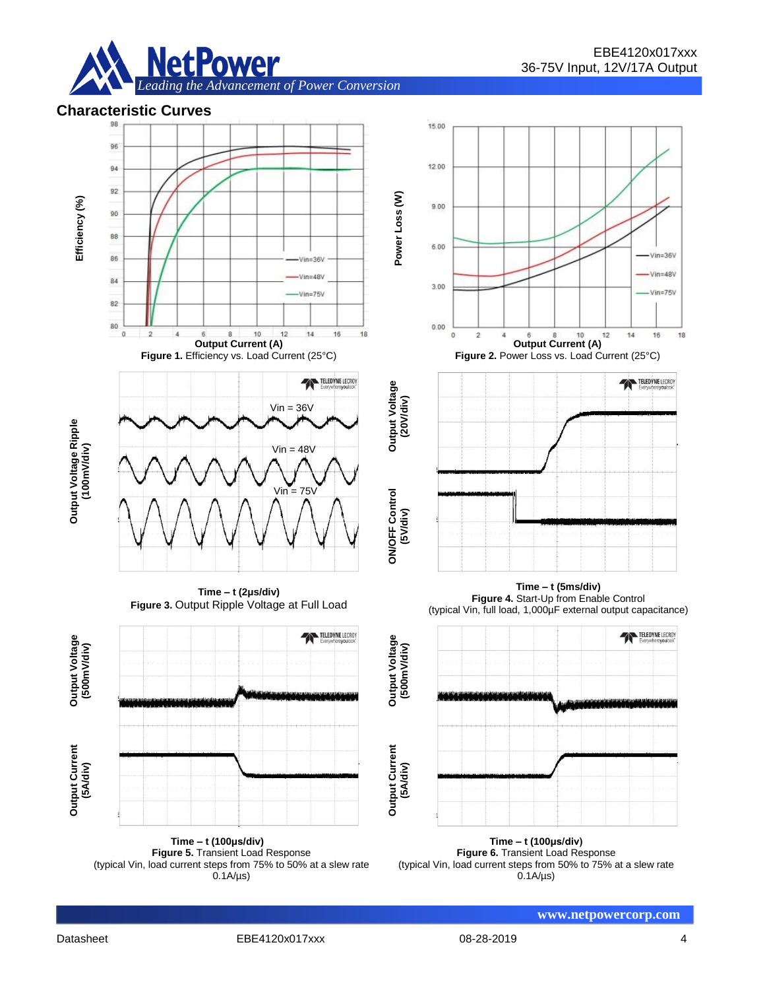





**Time – t (100μs/div) Figure 5.** Transient Load Response (typical Vin, load current steps from 75% to 50% at a slew rate  $0.1A/\mu s$ 

**Time – t (100μs/div) Figure 6.** Transient Load Response (typical Vin, load current steps from 50% to 75% at a slew rate 0.1A/µs)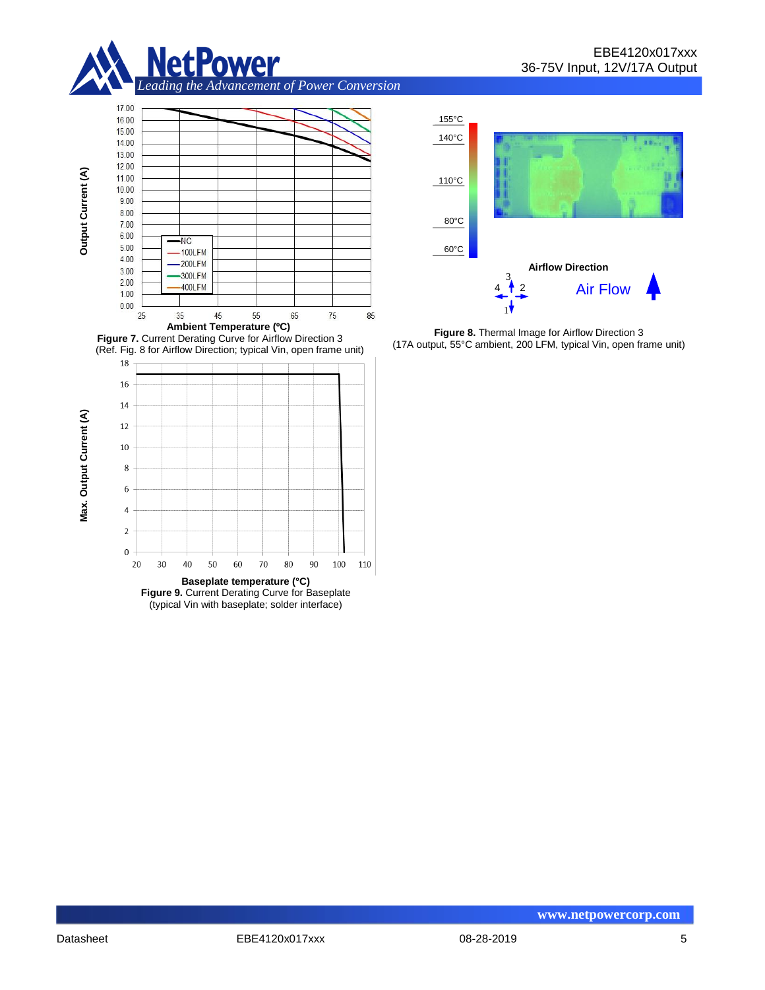





**Figure 8.** Thermal Image for Airflow Direction 3 (17A output, 55°C ambient, 200 LFM, typical Vin, open frame unit)

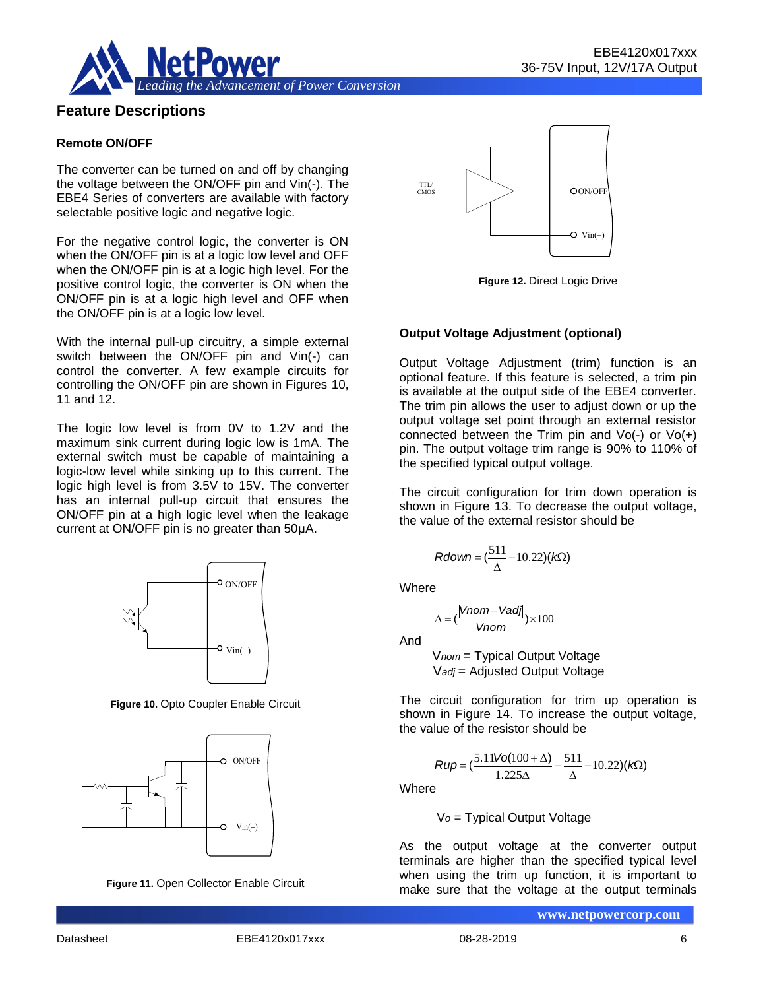

#### **Feature Descriptions**

#### **Remote ON/OFF**

The converter can be turned on and off by changing the voltage between the ON/OFF pin and Vin(-). The EBE4 Series of converters are available with factory selectable positive logic and negative logic.

For the negative control logic, the converter is ON when the ON/OFF pin is at a logic low level and OFF when the ON/OFF pin is at a logic high level. For the positive control logic, the converter is ON when the ON/OFF pin is at a logic high level and OFF when the ON/OFF pin is at a logic low level.

With the internal pull-up circuitry, a simple external switch between the ON/OFF pin and Vin(-) can control the converter. A few example circuits for controlling the ON/OFF pin are shown in Figures 10, 11 and 12.

The logic low level is from 0V to 1.2V and the maximum sink current during logic low is 1mA. The external switch must be capable of maintaining a logic-low level while sinking up to this current. The logic high level is from 3.5V to 15V. The converter has an internal pull-up circuit that ensures the ON/OFF pin at a high logic level when the leakage current at ON/OFF pin is no greater than 50μA.



**Figure 10.** Opto Coupler Enable Circuit







**Figure 12.** Direct Logic Drive

#### **Output Voltage Adjustment (optional)**

Output Voltage Adjustment (trim) function is an optional feature. If this feature is selected, a trim pin is available at the output side of the EBE4 converter. The trim pin allows the user to adjust down or up the output voltage set point through an external resistor connected between the Trim pin and  $Vo(-)$  or  $Vo(+)$ pin. The output voltage trim range is 90% to 110% of the specified typical output voltage.

The circuit configuration for trim down operation is shown in Figure 13. To decrease the output voltage, the value of the external resistor should be

$$
Rdown = (\frac{511}{\Delta} - 10.22)(k\Omega)
$$

**Where** 

$$
\Delta = (\frac{|Vnom - Vadj|}{Vnom}) \times 100
$$

And

V*nom* = Typical Output Voltage V*adj* = Adjusted Output Voltage

The circuit configuration for trim up operation is shown in Figure 14. To increase the output voltage, the value of the resistor should be

$$
Rup = \left(\frac{5.11\text{Vol}(100 + \Delta)}{1.225\Delta} - \frac{511}{\Delta} - 10.22\right)(k\Omega)
$$

**Where** 

V*o* = Typical Output Voltage

As the output voltage at the converter output terminals are higher than the specified typical level when using the trim up function, it is important to make sure that the voltage at the output terminals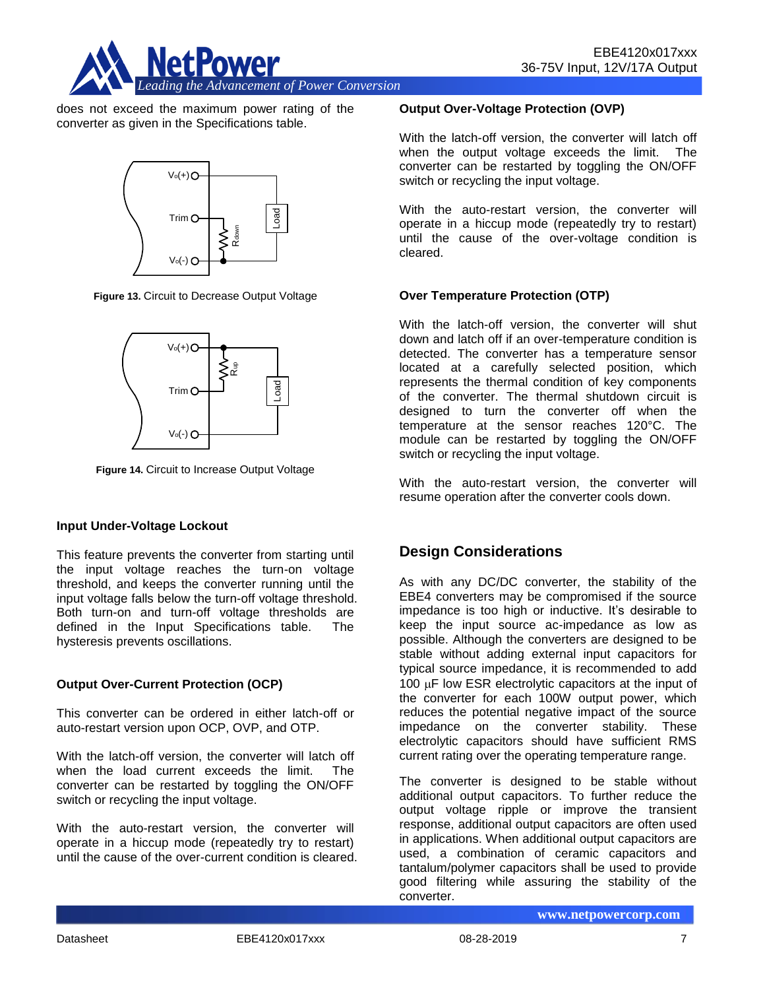

does not exceed the maximum power rating of the converter as given in the Specifications table.



**Figure 13.** Circuit to Decrease Output Voltage



**Figure 14.** Circuit to Increase Output Voltage

#### **Input Under-Voltage Lockout**

This feature prevents the converter from starting until the input voltage reaches the turn-on voltage threshold, and keeps the converter running until the input voltage falls below the turn-off voltage threshold. Both turn-on and turn-off voltage thresholds are defined in the Input Specifications table. The hysteresis prevents oscillations.

#### **Output Over-Current Protection (OCP)**

This converter can be ordered in either latch-off or auto-restart version upon OCP, OVP, and OTP.

With the latch-off version, the converter will latch off when the load current exceeds the limit. The converter can be restarted by toggling the ON/OFF switch or recycling the input voltage.

With the auto-restart version, the converter will operate in a hiccup mode (repeatedly try to restart) until the cause of the over-current condition is cleared.

#### **Output Over-Voltage Protection (OVP)**

With the latch-off version, the converter will latch off when the output voltage exceeds the limit. The converter can be restarted by toggling the ON/OFF switch or recycling the input voltage.

With the auto-restart version, the converter will operate in a hiccup mode (repeatedly try to restart) until the cause of the over-voltage condition is cleared.

#### **Over Temperature Protection (OTP)**

With the latch-off version, the converter will shut down and latch off if an over-temperature condition is detected. The converter has a temperature sensor located at a carefully selected position, which represents the thermal condition of key components of the converter. The thermal shutdown circuit is designed to turn the converter off when the temperature at the sensor reaches 120°C. The module can be restarted by toggling the ON/OFF switch or recycling the input voltage.

With the auto-restart version, the converter will resume operation after the converter cools down.

# **Design Considerations**

As with any DC/DC converter, the stability of the EBE4 converters may be compromised if the source impedance is too high or inductive. It's desirable to keep the input source ac-impedance as low as possible. Although the converters are designed to be stable without adding external input capacitors for typical source impedance, it is recommended to add 100 **uF** low ESR electrolytic capacitors at the input of the converter for each 100W output power, which reduces the potential negative impact of the source impedance on the converter stability. These electrolytic capacitors should have sufficient RMS current rating over the operating temperature range.

The converter is designed to be stable without additional output capacitors. To further reduce the output voltage ripple or improve the transient response, additional output capacitors are often used in applications. When additional output capacitors are used, a combination of ceramic capacitors and tantalum/polymer capacitors shall be used to provide good filtering while assuring the stability of the converter.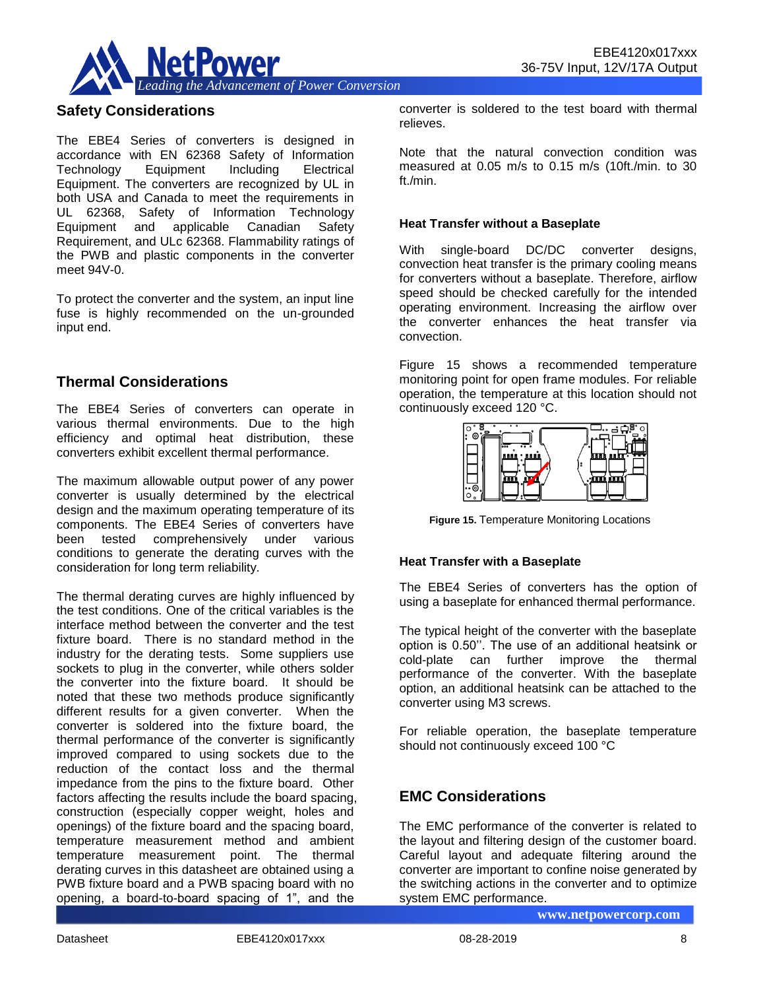

## **Safety Considerations**

The EBE4 Series of converters is designed in accordance with EN 62368 Safety of Information Technology Equipment Including Electrical Equipment. The converters are recognized by UL in both USA and Canada to meet the requirements in UL 62368, Safety of Information Technology Equipment and applicable Canadian Safety Requirement, and ULc 62368. Flammability ratings of the PWB and plastic components in the converter meet 94V-0.

To protect the converter and the system, an input line fuse is highly recommended on the un-grounded input end.

#### **Thermal Considerations**

The EBE4 Series of converters can operate in various thermal environments. Due to the high efficiency and optimal heat distribution, these converters exhibit excellent thermal performance.

The maximum allowable output power of any power converter is usually determined by the electrical design and the maximum operating temperature of its components. The EBE4 Series of converters have been tested comprehensively under various conditions to generate the derating curves with the consideration for long term reliability.

The thermal derating curves are highly influenced by the test conditions. One of the critical variables is the interface method between the converter and the test fixture board. There is no standard method in the industry for the derating tests. Some suppliers use sockets to plug in the converter, while others solder the converter into the fixture board. It should be noted that these two methods produce significantly different results for a given converter. When the converter is soldered into the fixture board, the thermal performance of the converter is significantly improved compared to using sockets due to the reduction of the contact loss and the thermal impedance from the pins to the fixture board. Other factors affecting the results include the board spacing, construction (especially copper weight, holes and openings) of the fixture board and the spacing board, temperature measurement method and ambient temperature measurement point. The thermal derating curves in this datasheet are obtained using a PWB fixture board and a PWB spacing board with no opening, a board-to-board spacing of 1", and the

converter is soldered to the test board with thermal relieves.

Note that the natural convection condition was measured at 0.05 m/s to 0.15 m/s (10ft./min. to 30 ft./min.

#### **Heat Transfer without a Baseplate**

With single-board DC/DC converter designs, convection heat transfer is the primary cooling means for converters without a baseplate. Therefore, airflow speed should be checked carefully for the intended operating environment. Increasing the airflow over the converter enhances the heat transfer via convection.

Figure 15 shows a recommended temperature monitoring point for open frame modules. For reliable operation, the temperature at this location should not continuously exceed 120 °C.



**Figure 15.** Temperature Monitoring Locations

#### **Heat Transfer with a Baseplate**

The EBE4 Series of converters has the option of using a baseplate for enhanced thermal performance.

The typical height of the converter with the baseplate option is 0.50''. The use of an additional heatsink or cold-plate can further improve the thermal performance of the converter. With the baseplate option, an additional heatsink can be attached to the converter using M3 screws.

For reliable operation, the baseplate temperature should not continuously exceed 100 °C

# **EMC Considerations**

The EMC performance of the converter is related to the layout and filtering design of the customer board. Careful layout and adequate filtering around the converter are important to confine noise generated by the switching actions in the converter and to optimize system EMC performance.